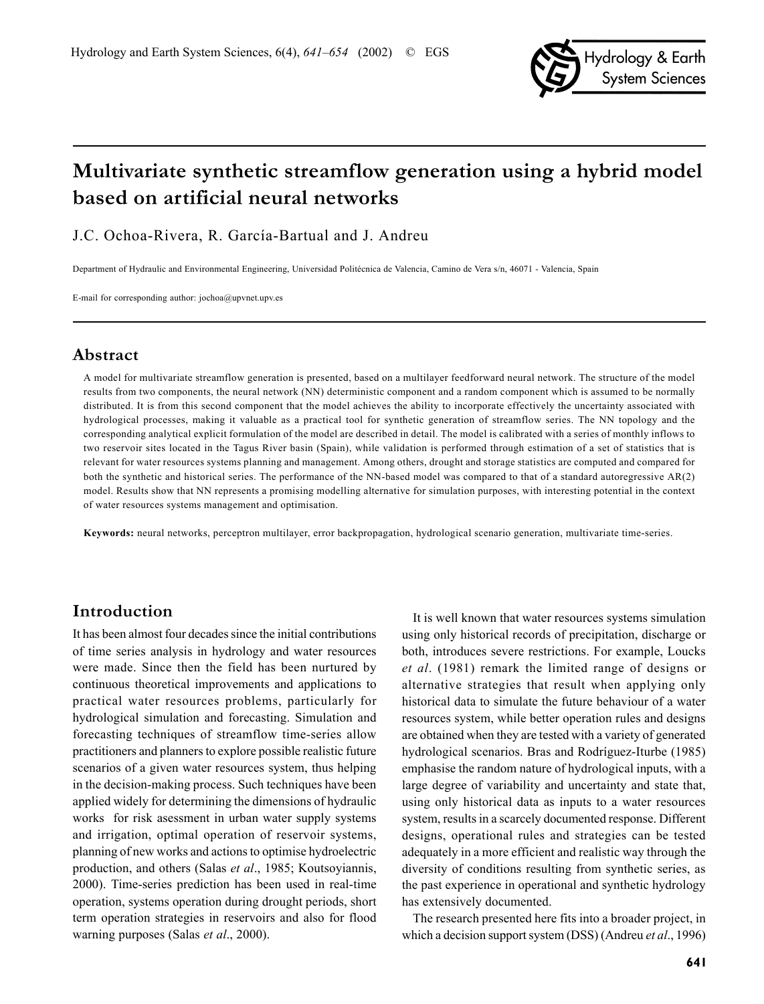

# **Multivariate synthetic streamflow generation using a hybrid model based on artificial neural networks**

J.C. Ochoa-Rivera, R. García-Bartual and J. Andreu

Department of Hydraulic and Environmental Engineering, Universidad Politécnica de Valencia, Camino de Vera s/n, 46071 - Valencia, Spain

E-mail for corresponding author: jochoa@upvnet.upv.es

### **Abstract**

A model for multivariate streamflow generation is presented, based on a multilayer feedforward neural network. The structure of the model results from two components, the neural network (NN) deterministic component and a random component which is assumed to be normally distributed. It is from this second component that the model achieves the ability to incorporate effectively the uncertainty associated with hydrological processes, making it valuable as a practical tool for synthetic generation of streamflow series. The NN topology and the corresponding analytical explicit formulation of the model are described in detail. The model is calibrated with a series of monthly inflows to two reservoir sites located in the Tagus River basin (Spain), while validation is performed through estimation of a set of statistics that is relevant for water resources systems planning and management. Among others, drought and storage statistics are computed and compared for both the synthetic and historical series. The performance of the NN-based model was compared to that of a standard autoregressive AR(2) model. Results show that NN represents a promising modelling alternative for simulation purposes, with interesting potential in the context of water resources systems management and optimisation.

**Keywords:** neural networks, perceptron multilayer, error backpropagation, hydrological scenario generation, multivariate time-series.

# **Introduction**

It has been almost four decades since the initial contributions of time series analysis in hydrology and water resources were made. Since then the field has been nurtured by continuous theoretical improvements and applications to practical water resources problems, particularly for hydrological simulation and forecasting. Simulation and forecasting techniques of streamflow time-series allow practitioners and planners to explore possible realistic future scenarios of a given water resources system, thus helping in the decision-making process. Such techniques have been applied widely for determining the dimensions of hydraulic works for risk asessment in urban water supply systems and irrigation, optimal operation of reservoir systems, planning of new works and actions to optimise hydroelectric production, and others (Salas *et al*., 1985; Koutsoyiannis, 2000). Time-series prediction has been used in real-time operation, systems operation during drought periods, short term operation strategies in reservoirs and also for flood warning purposes (Salas *et al*., 2000).

It is well known that water resources systems simulation using only historical records of precipitation, discharge or both, introduces severe restrictions. For example, Loucks *et al*. (1981) remark the limited range of designs or alternative strategies that result when applying only historical data to simulate the future behaviour of a water resources system, while better operation rules and designs are obtained when they are tested with a variety of generated hydrological scenarios. Bras and Rodríguez-Iturbe (1985) emphasise the random nature of hydrological inputs, with a large degree of variability and uncertainty and state that, using only historical data as inputs to a water resources system, results in a scarcely documented response. Different designs, operational rules and strategies can be tested adequately in a more efficient and realistic way through the diversity of conditions resulting from synthetic series, as the past experience in operational and synthetic hydrology has extensively documented.

The research presented here fits into a broader project, in which a decision support system (DSS) (Andreu *et al*., 1996)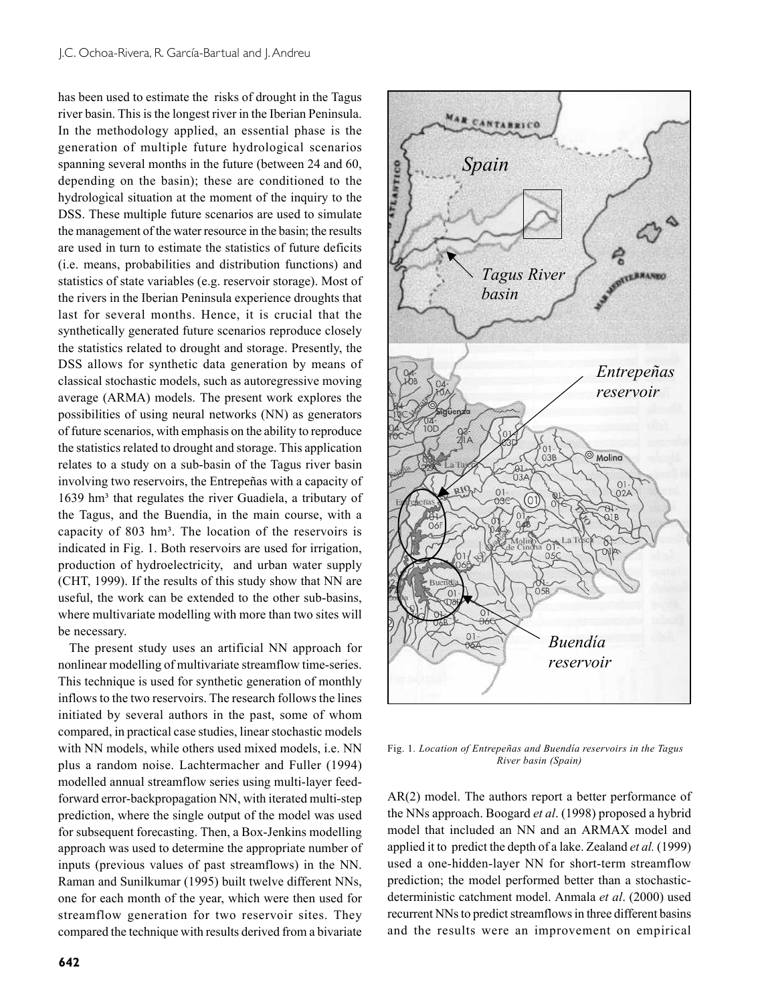has been used to estimate the risks of drought in the Tagus river basin. This is the longest river in the Iberian Peninsula. In the methodology applied, an essential phase is the generation of multiple future hydrological scenarios spanning several months in the future (between 24 and 60, depending on the basin); these are conditioned to the hydrological situation at the moment of the inquiry to the DSS. These multiple future scenarios are used to simulate the management of the water resource in the basin; the results are used in turn to estimate the statistics of future deficits (i.e. means, probabilities and distribution functions) and statistics of state variables (e.g. reservoir storage). Most of the rivers in the Iberian Peninsula experience droughts that last for several months. Hence, it is crucial that the synthetically generated future scenarios reproduce closely the statistics related to drought and storage. Presently, the DSS allows for synthetic data generation by means of classical stochastic models, such as autoregressive moving average (ARMA) models. The present work explores the possibilities of using neural networks (NN) as generators of future scenarios, with emphasis on the ability to reproduce the statistics related to drought and storage. This application relates to a study on a sub-basin of the Tagus river basin involving two reservoirs, the Entrepeñas with a capacity of 1639 hm<sup>3</sup> that regulates the river Guadiela, a tributary of the Tagus, and the Buendía, in the main course, with a capacity of 803 hm<sup>3</sup>. The location of the reservoirs is indicated in Fig. 1. Both reservoirs are used for irrigation, production of hydroelectricity, and urban water supply (CHT, 1999). If the results of this study show that NN are useful, the work can be extended to the other sub-basins, where multivariate modelling with more than two sites will be necessary.

The present study uses an artificial NN approach for nonlinear modelling of multivariate streamflow time-series. This technique is used for synthetic generation of monthly inflows to the two reservoirs. The research follows the lines initiated by several authors in the past, some of whom compared, in practical case studies, linear stochastic models with NN models, while others used mixed models, i.e. NN plus a random noise. Lachtermacher and Fuller (1994) modelled annual streamflow series using multi-layer feedforward error-backpropagation NN, with iterated multi-step prediction, where the single output of the model was used for subsequent forecasting. Then, a Box-Jenkins modelling approach was used to determine the appropriate number of inputs (previous values of past streamflows) in the NN. Raman and Sunilkumar (1995) built twelve different NNs, one for each month of the year, which were then used for streamflow generation for two reservoir sites. They compared the technique with results derived from a bivariate





Fig. 1*. Location of Entrepeñas and Buendía reservoirs in the Tagus River basin (Spain)*

AR(2) model. The authors report a better performance of the NNs approach. Boogard *et al*. (1998) proposed a hybrid model that included an NN and an ARMAX model and applied it to predict the depth of a lake. Zealand *et al.* (1999) used a one-hidden-layer NN for short-term streamflow prediction; the model performed better than a stochasticdeterministic catchment model. Anmala *et al*. (2000) used recurrent NNs to predict streamflows in three different basins and the results were an improvement on empirical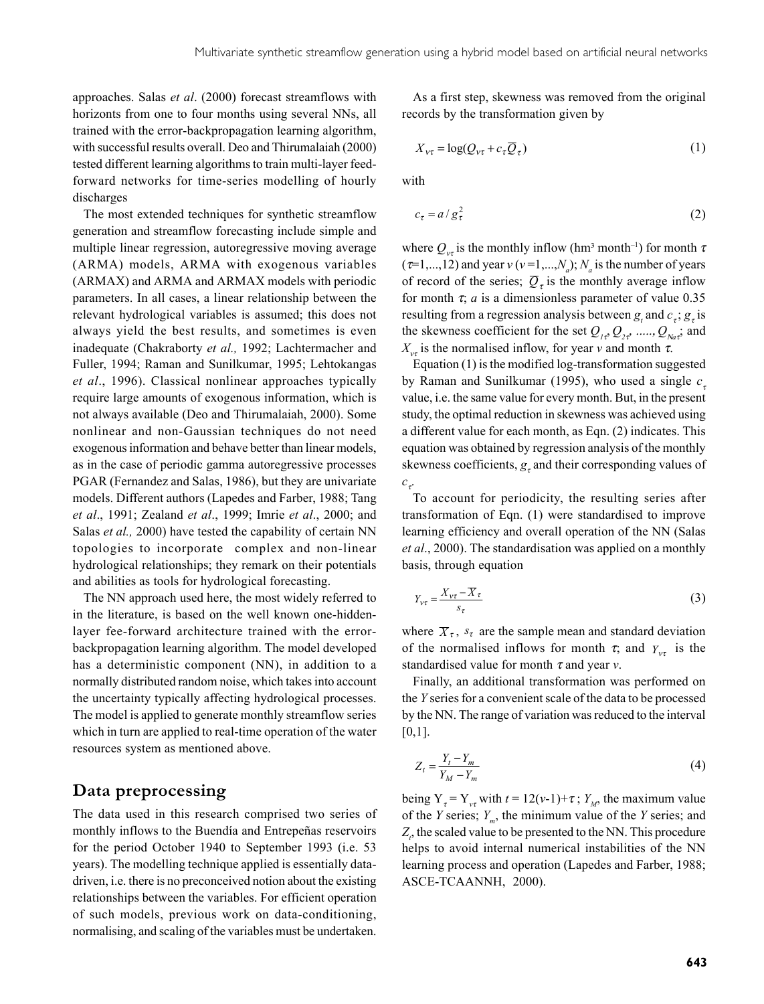approaches. Salas *et al*. (2000) forecast streamflows with horizonts from one to four months using several NNs, all trained with the error-backpropagation learning algorithm, with successful results overall. Deo and Thirumalaiah (2000) tested different learning algorithms to train multi-layer feedforward networks for time-series modelling of hourly discharges

The most extended techniques for synthetic streamflow generation and streamflow forecasting include simple and multiple linear regression, autoregressive moving average (ARMA) models, ARMA with exogenous variables (ARMAX) and ARMA and ARMAX models with periodic parameters. In all cases, a linear relationship between the relevant hydrological variables is assumed; this does not always yield the best results, and sometimes is even inadequate (Chakraborty *et al.,* 1992; Lachtermacher and Fuller, 1994; Raman and Sunilkumar, 1995; Lehtokangas *et al*., 1996). Classical nonlinear approaches typically require large amounts of exogenous information, which is not always available (Deo and Thirumalaiah, 2000). Some nonlinear and non-Gaussian techniques do not need exogenous information and behave better than linear models, as in the case of periodic gamma autoregressive processes PGAR (Fernandez and Salas, 1986), but they are univariate models. Different authors (Lapedes and Farber, 1988; Tang *et al*., 1991; Zealand *et al*., 1999; Imrie *et al*., 2000; and Salas *et al.,* 2000) have tested the capability of certain NN topologies to incorporate complex and non-linear hydrological relationships; they remark on their potentials and abilities as tools for hydrological forecasting.

The NN approach used here, the most widely referred to in the literature, is based on the well known one-hiddenlayer fee-forward architecture trained with the errorbackpropagation learning algorithm. The model developed has a deterministic component (NN), in addition to a normally distributed random noise, which takes into account the uncertainty typically affecting hydrological processes. The model is applied to generate monthly streamflow series which in turn are applied to real-time operation of the water resources system as mentioned above.

### **Data preprocessing**

The data used in this research comprised two series of monthly inflows to the Buendía and Entrepeñas reservoirs for the period October 1940 to September 1993 (i.e. 53 years). The modelling technique applied is essentially datadriven, i.e. there is no preconceived notion about the existing relationships between the variables. For efficient operation of such models, previous work on data-conditioning, normalising, and scaling of the variables must be undertaken.

As a first step, skewness was removed from the original records by the transformation given by

$$
X_{\nu\tau} = \log(Q_{\nu\tau} + c_{\tau}\overline{Q}_{\tau})
$$
\n(1)

with

$$
c_{\tau} = a/g_{\tau}^2 \tag{2}
$$

where  $Q_{vr}$  is the monthly inflow (hm<sup>3</sup> month<sup>-1</sup>) for month  $\tau$  $(\tau=1,...,12)$  and year  $v(v=1,...,N_a)$ ;  $N_a$  is the number of years of record of the series;  $\overline{Q}_{\tau}$  is the monthly average inflow for month  $\tau$ ; *a* is a dimensionless parameter of value 0.35 resulting from a regression analysis between  $g_t$  and  $c_t$ ;  $g_t$  is the skewness coefficient for the set  $Q_{1\tau}$ ,  $Q_{2\tau}$ , .....,  $Q_{N\tau}$ ; and  $X_{\nu\tau}$  is the normalised inflow, for year *v* and month  $\tau$ .

Equation (1) is the modified log-transformation suggested by Raman and Sunilkumar (1995), who used a single  $c<sub>\tau</sub>$ value, i.e. the same value for every month. But, in the present study, the optimal reduction in skewness was achieved using a different value for each month, as Eqn. (2) indicates. This equation was obtained by regression analysis of the monthly skewness coefficients,  $g<sub>z</sub>$  and their corresponding values of  $c_{\tau}$ 

To account for periodicity, the resulting series after transformation of Eqn. (1) were standardised to improve learning efficiency and overall operation of the NN (Salas *et al*., 2000). The standardisation was applied on a monthly basis, through equation

$$
Y_{\nu\tau} = \frac{X_{\nu\tau} - \overline{X}\tau}{s_{\tau}}
$$
\n(3)

where  $\overline{X}_{\tau}$ ,  $s_{\tau}$  are the sample mean and standard deviation of the normalised inflows for month  $\tau$ ; and  $Y_{\nu\tau}$  is the standardised value for month τ and year *v*.

Finally, an additional transformation was performed on the *Y* series for a convenient scale of the data to be processed by the NN. The range of variation was reduced to the interval  $[0,1]$ .

$$
Z_t = \frac{Y_t - Y_m}{Y_M - Y_m} \tag{4}
$$

being  $Y_t = Y_{vt}$  with  $t = 12(v-1)+\tau$ ;  $Y_M$ , the maximum value of the *Y* series; *Ym*, the minimum value of the *Y* series; and  $Z$ <sup>,</sup> the scaled value to be presented to the NN. This procedure helps to avoid internal numerical instabilities of the NN learning process and operation (Lapedes and Farber, 1988; ASCE-TCAANNH, 2000).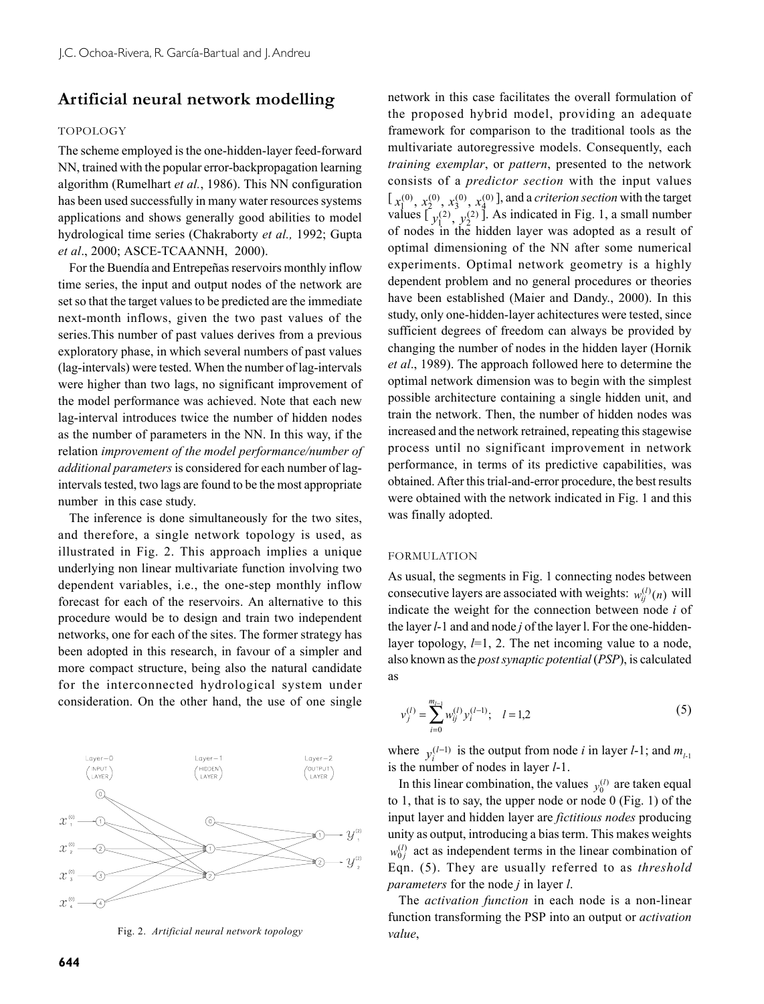# **Artificial neural network modelling**

#### TOPOLOGY

The scheme employed is the one-hidden-layer feed-forward NN, trained with the popular error-backpropagation learning algorithm (Rumelhart *et al.*, 1986). This NN configuration has been used successfully in many water resources systems applications and shows generally good abilities to model hydrological time series (Chakraborty *et al.,* 1992; Gupta *et al*., 2000; ASCE-TCAANNH, 2000).

For the Buendía and Entrepeñas reservoirs monthly inflow time series, the input and output nodes of the network are set so that the target values to be predicted are the immediate next-month inflows, given the two past values of the series.This number of past values derives from a previous exploratory phase, in which several numbers of past values (lag-intervals) were tested. When the number of lag-intervals were higher than two lags, no significant improvement of the model performance was achieved. Note that each new lag-interval introduces twice the number of hidden nodes as the number of parameters in the NN. In this way, if the relation *improvement of the model performance/number of additional parameters* is considered for each number of lagintervals tested, two lags are found to be the most appropriate number in this case study.

The inference is done simultaneously for the two sites, and therefore, a single network topology is used, as illustrated in Fig. 2. This approach implies a unique underlying non linear multivariate function involving two dependent variables, i.e., the one-step monthly inflow forecast for each of the reservoirs. An alternative to this procedure would be to design and train two independent networks, one for each of the sites. The former strategy has been adopted in this research, in favour of a simpler and more compact structure, being also the natural candidate for the interconnected hydrological system under consideration. On the other hand, the use of one single



*value*, Fig. 2. *Artificial neural network topology*

network in this case facilitates the overall formulation of the proposed hybrid model, providing an adequate framework for comparison to the traditional tools as the multivariate autoregressive models. Consequently, each *training exemplar*, or *pattern*, presented to the network consists of a *predictor section* with the input values  $\left[ x_1^{(0)}, x_2^{(0)}, x_3^{(0)}, x_4^{(0)} \right]$ , and a *criterion section* with the target<br>values  $\left[ y_1^{(2)}, y_2^{(2)} \right]$ . As indicated in Fig. 1, a small number of nodes in the hidden layer was adopted as a result of optimal dimensioning of the NN after some numerical experiments. Optimal network geometry is a highly dependent problem and no general procedures or theories have been established (Maier and Dandy., 2000). In this study, only one-hidden-layer achitectures were tested, since sufficient degrees of freedom can always be provided by changing the number of nodes in the hidden layer (Hornik *et al*., 1989). The approach followed here to determine the optimal network dimension was to begin with the simplest possible architecture containing a single hidden unit, and train the network. Then, the number of hidden nodes was increased and the network retrained, repeating this stagewise process until no significant improvement in network performance, in terms of its predictive capabilities, was obtained. After this trial-and-error procedure, the best results were obtained with the network indicated in Fig. 1 and this was finally adopted.

#### FORMULATION

As usual, the segments in Fig. 1 connecting nodes between consecutive layers are associated with weights:  $w_{ij}^{(l)}(n)$  will indicate the weight for the connection between node *i* of the layer *l*-1 and and node *j* of the layer l. For the one-hiddenlayer topology, *l*=1, 2. The net incoming value to a node, also known as the *post synaptic potential* (*PSP*), is calculated as

$$
v_j^{(l)} = \sum_{i=0}^{m_{l-1}} w_{ij}^{(l)} y_i^{(l-1)}; \quad l = 1,2
$$
 (5)

where  $y_i^{(l-1)}$  is the output from node *i* in layer *l*-1; and  $m_{l-1}$ is the number of nodes in layer *l*-1.

In this linear combination, the values  $y_0^{(l)}$  are taken equal to 1, that is to say, the upper node or node 0 (Fig. 1) of the input layer and hidden layer are *fictitious nodes* producing unity as output, introducing a bias term. This makes weights  $w_{0j}^{(l)}$  act as independent terms in the linear combination of Eqn. (5). They are usually referred to as *threshold parameters* for the node *j* in layer *l*.

The *activation function* in each node is a non-linear function transforming the PSP into an output or *activation*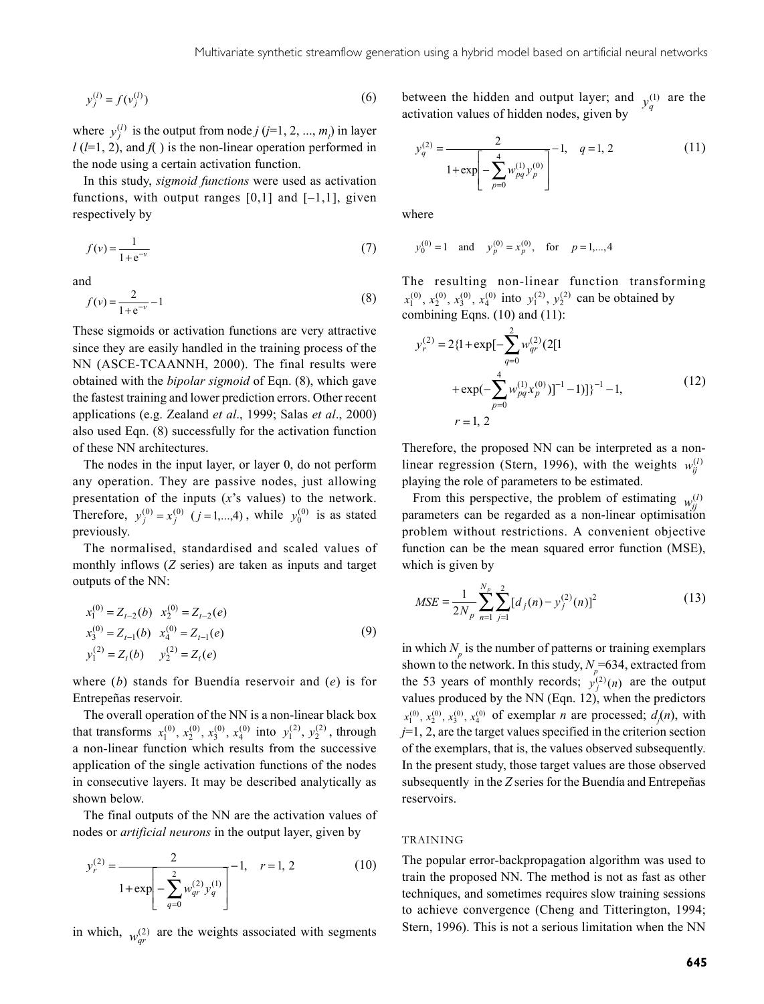$$
y_j^{(l)} = f(v_j^{(l)})\tag{6}
$$

where  $y_j^{(l)}$  is the output from node *j* (*j*=1, 2, ..., *m<sub>l</sub>*) in layer  $l$  ( $l$ =1, 2), and  $f$  ) is the non-linear operation performed in the node using a certain activation function.

In this study, *sigmoid functions* were used as activation functions, with output ranges  $[0,1]$  and  $[-1,1]$ , given respectively by

$$
f(v) = \frac{1}{1 + e^{-v}}
$$
 (7)

and

$$
f(v) = \frac{2}{1 + e^{-v}} - 1
$$
 (8)

These sigmoids or activation functions are very attractive since they are easily handled in the training process of the NN (ASCE-TCAANNH, 2000). The final results were obtained with the *bipolar sigmoid* of Eqn. (8), which gave the fastest training and lower prediction errors. Other recent applications (e.g. Zealand *et al*., 1999; Salas *et al*., 2000) also used Eqn. (8) successfully for the activation function of these NN architectures.

The nodes in the input layer, or layer 0, do not perform any operation. They are passive nodes, just allowing presentation of the inputs (*x*'s values) to the network. Therefore,  $y_j^{(0)} = x_j^{(0)}$  ( $j = 1,...,4$ ), while  $y_0^{(0)}$  is as stated previously.

The normalised, standardised and scaled values of monthly inflows (*Z* series) are taken as inputs and target outputs of the NN:

$$
x_1^{(0)} = Z_{t-2}(b) \quad x_2^{(0)} = Z_{t-2}(e)
$$
  
\n
$$
x_3^{(0)} = Z_{t-1}(b) \quad x_4^{(0)} = Z_{t-1}(e)
$$
  
\n
$$
y_1^{(2)} = Z_t(b) \quad y_2^{(2)} = Z_t(e)
$$
\n(9)

where (*b*) stands for Buendía reservoir and (*e*) is for Entrepeñas reservoir.

The overall operation of the NN is a non-linear black box that transforms  $x_1^{(0)}$ ,  $x_2^{(0)}$ ,  $x_3^{(0)}$ ,  $x_4^{(0)}$  into  $y_1^{(2)}$ ,  $y_2^{(2)}$ , through a non-linear function which results from the successive application of the single activation functions of the nodes in consecutive layers. It may be described analytically as shown below.

The final outputs of the NN are the activation values of nodes or *artificial neurons* in the output layer, given by

$$
y_r^{(2)} = \frac{2}{1 + \exp\left[-\sum_{q=0}^2 w_{qr}^{(2)} y_q^{(1)}\right]} - 1, \quad r = 1, 2
$$
 (10)

in which,  $w_{qr}^{(2)}$  are the weights associated with segments

between the hidden and output layer; and  $y_q^{(1)}$  are the activation values of hidden nodes, given by

$$
y_q^{(2)} = \frac{2}{1 + \exp\left[-\sum_{p=0}^4 w_{pq}^{(1)} y_p^{(0)}\right]} - 1, \quad q = 1, 2
$$
 (11)

where

$$
y_0^{(0)} = 1
$$
 and  $y_p^{(0)} = x_p^{(0)}$ , for  $p = 1,...,4$ 

The resulting non-linear function transforming  $x_1^{(0)}$ ,  $x_2^{(0)}$ ,  $x_3^{(0)}$ ,  $x_4^{(0)}$  into  $y_1^{(2)}$ ,  $y_2^{(2)}$  can be obtained by combining Eqns. (10) and (11):

$$
y_r^{(2)} = 2{1 + \exp[-\sum_{q=0}^{2} w_{qr}^{(2)} (2[1 + \exp(-\sum_{p=0}^{4} w_{pq}^{(1)} x_p^{(0)})]^{-1} - 1)}]^{-1} - 1,
$$
\n
$$
r = 1, 2
$$
\n(12)

Therefore, the proposed NN can be interpreted as a nonlinear regression (Stern, 1996), with the weights  $w_i^{(l)}$ playing the role of parameters to be estimated.

From this perspective, the problem of estimating  $w_i^{(l)}$ parameters can be regarded as a non-linear optimisation problem without restrictions. A convenient objective function can be the mean squared error function (MSE), which is given by

$$
MSE = \frac{1}{2N_p} \sum_{n=1}^{N_p} \sum_{j=1}^{2} [d_j(n) - y_j^{(2)}(n)]^2
$$
 (13)

in which  $N_p$  is the number of patterns or training exemplars shown to the network. In this study,  $N_p$ =634, extracted from the 53 years of monthly records;  $y_j^{(2)}(n)$  are the output values produced by the NN (Eqn. 12), when the predictors  $(x_1^{(0)}, x_2^{(0)}, x_3^{(0)}, x_4^{(0)}$  of exemplar *n* are processed;  $d_j(n)$ , with  $j=1, 2$ , are the target values specified in the criterion section of the exemplars, that is, the values observed subsequently. In the present study, those target values are those observed subsequently in the *Z* series for the Buendía and Entrepeñas reservoirs.

#### TRAINING

The popular error-backpropagation algorithm was used to train the proposed NN. The method is not as fast as other techniques, and sometimes requires slow training sessions to achieve convergence (Cheng and Titterington, 1994; Stern, 1996). This is not a serious limitation when the NN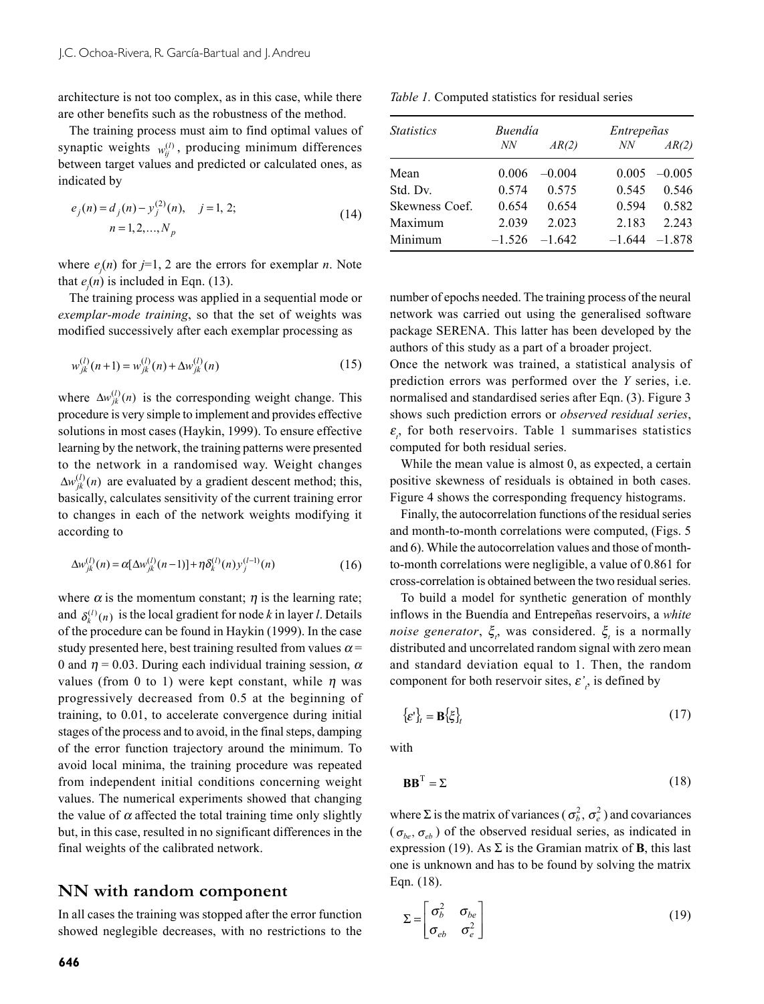architecture is not too complex, as in this case, while there are other benefits such as the robustness of the method.

The training process must aim to find optimal values of synaptic weights  $w_i^{(l)}$ , producing minimum differences between target values and predicted or calculated ones, as indicated by

$$
e_j(n) = d_j(n) - y_j^{(2)}(n), \quad j = 1, 2;
$$
  
\n
$$
n = 1, 2, ..., N_p
$$
 (14)

where  $e_j(n)$  for  $j=1, 2$  are the errors for exemplar *n*. Note that  $e_j(n)$  is included in Eqn. (13).

The training process was applied in a sequential mode or *exemplar-mode training*, so that the set of weights was modified successively after each exemplar processing as

$$
w_{jk}^{(l)}(n+1) = w_{jk}^{(l)}(n) + \Delta w_{jk}^{(l)}(n)
$$
\n(15)

where  $\Delta w_{ik}^{(l)}(n)$  is the corresponding weight change. This procedure is very simple to implement and provides effective solutions in most cases (Haykin, 1999). To ensure effective learning by the network, the training patterns were presented to the network in a randomised way. Weight changes  $\Delta w_{ik}^{(l)}(n)$  are evaluated by a gradient descent method; this, basically, calculates sensitivity of the current training error to changes in each of the network weights modifying it according to

$$
\Delta w_{jk}^{(l)}(n) = \alpha [\Delta w_{jk}^{(l)}(n-1)] + \eta \delta_k^{(l)}(n) y_j^{(l-1)}(n)
$$
\n(16)

where  $\alpha$  is the momentum constant;  $\eta$  is the learning rate; and  $\delta_k^{(l)}(n)$  is the local gradient for node *k* in layer *l*. Details of the procedure can be found in Haykin (1999). In the case study presented here, best training resulted from values  $\alpha$  = 0 and  $\eta = 0.03$ . During each individual training session,  $\alpha$ values (from 0 to 1) were kept constant, while  $\eta$  was progressively decreased from 0.5 at the beginning of training, to 0.01, to accelerate convergence during initial stages of the process and to avoid, in the final steps, damping of the error function trajectory around the minimum. To avoid local minima, the training procedure was repeated from independent initial conditions concerning weight values. The numerical experiments showed that changing the value of  $\alpha$  affected the total training time only slightly but, in this case, resulted in no significant differences in the final weights of the calibrated network.

### **NN with random component**

In all cases the training was stopped after the error function showed neglegible decreases, with no restrictions to the

| Table 1. Computed statistics for residual series |
|--------------------------------------------------|
|--------------------------------------------------|

| <i>Statistics</i> | Buendía  |          | Entrepeñas |          |
|-------------------|----------|----------|------------|----------|
|                   | NN       | AR(2)    | NN         | AR(2)    |
| Mean              | 0.006    | $-0.004$ | 0.005      | $-0.005$ |
| Std. Dv.          | 0.574    | 0.575    | 0.545      | 0.546    |
| Skewness Coef.    | 0.654    | 0.654    | 0.594      | 0.582    |
| Maximum           | 2.039    | 2.023    | 2.183      | 2.243    |
| Minimum           | $-1,526$ | $-1642$  | $-1.644$   | $-1.878$ |

number of epochs needed. The training process of the neural network was carried out using the generalised software package SERENA. This latter has been developed by the authors of this study as a part of a broader project.

Once the network was trained, a statistical analysis of prediction errors was performed over the *Y* series, i.e. normalised and standardised series after Eqn. (3). Figure 3 shows such prediction errors or *observed residual series*,  $\varepsilon$ <sub>i</sub>, for both reservoirs. Table 1 summarises statistics computed for both residual series.

While the mean value is almost 0, as expected, a certain positive skewness of residuals is obtained in both cases. Figure 4 shows the corresponding frequency histograms.

Finally, the autocorrelation functions of the residual series and month-to-month correlations were computed, (Figs. 5 and 6). While the autocorrelation values and those of monthto-month correlations were negligible, a value of 0.861 for cross-correlation is obtained between the two residual series.

To build a model for synthetic generation of monthly inflows in the Buendía and Entrepeñas reservoirs, a *white noise generator*,  $\xi$ , was considered.  $\xi$  is a normally distributed and uncorrelated random signal with zero mean and standard deviation equal to 1. Then, the random component for both reservoir sites,  $\varepsilon'_{i}$  is defined by

$$
\{\varepsilon'\}_t = \mathbf{B}\{\xi\}_t\tag{17}
$$

with

$$
\mathbf{B}\mathbf{B}^{\mathrm{T}} = \Sigma \tag{18}
$$

where  $\Sigma$  is the matrix of variances ( $\sigma_b^2$ ,  $\sigma_e^2$ ) and covariances  $(\sigma_{ba}, \sigma_{ab})$  of the observed residual series, as indicated in expression (19). As  $\Sigma$  is the Gramian matrix of **B**, this last one is unknown and has to be found by solving the matrix Eqn. (18).

$$
\Sigma = \begin{bmatrix} \sigma_b^2 & \sigma_{be} \\ \sigma_{eb} & \sigma_e^2 \end{bmatrix}
$$
 (19)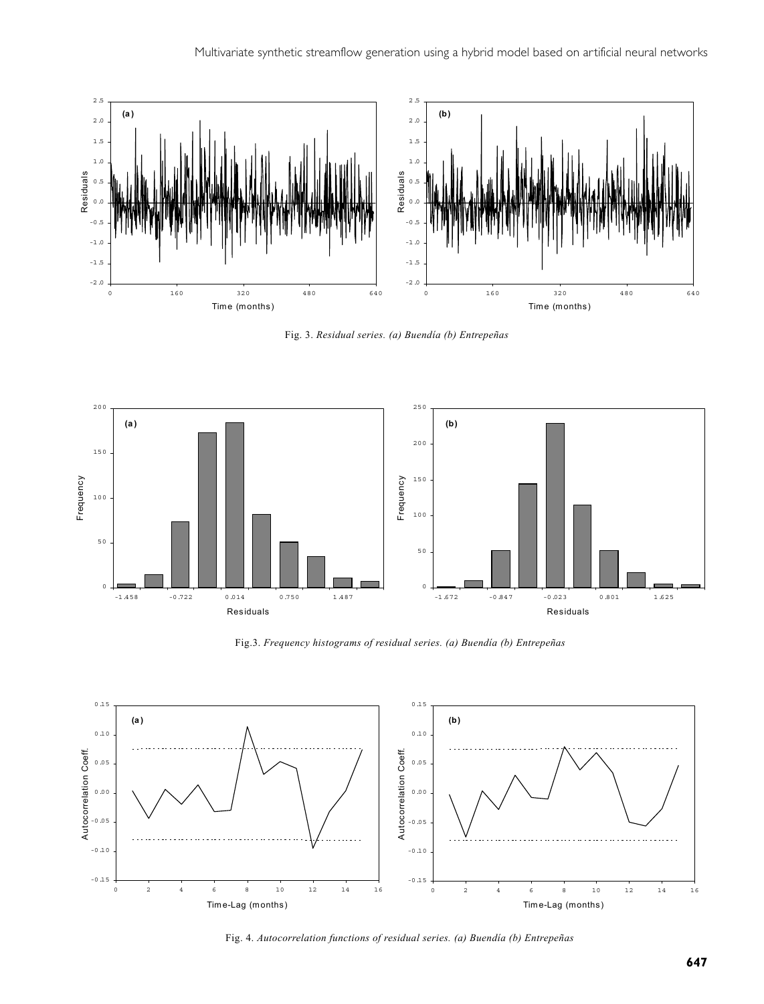

Fig. 3. *Residual series. (a) Buendía (b) Entrepeñas*



Fig.3. *Frequency histograms of residual series. (a) Buendía (b) Entrepeñas*



Fig. 4. *Autocorrelation functions of residual series. (a) Buendía (b) Entrepeñas*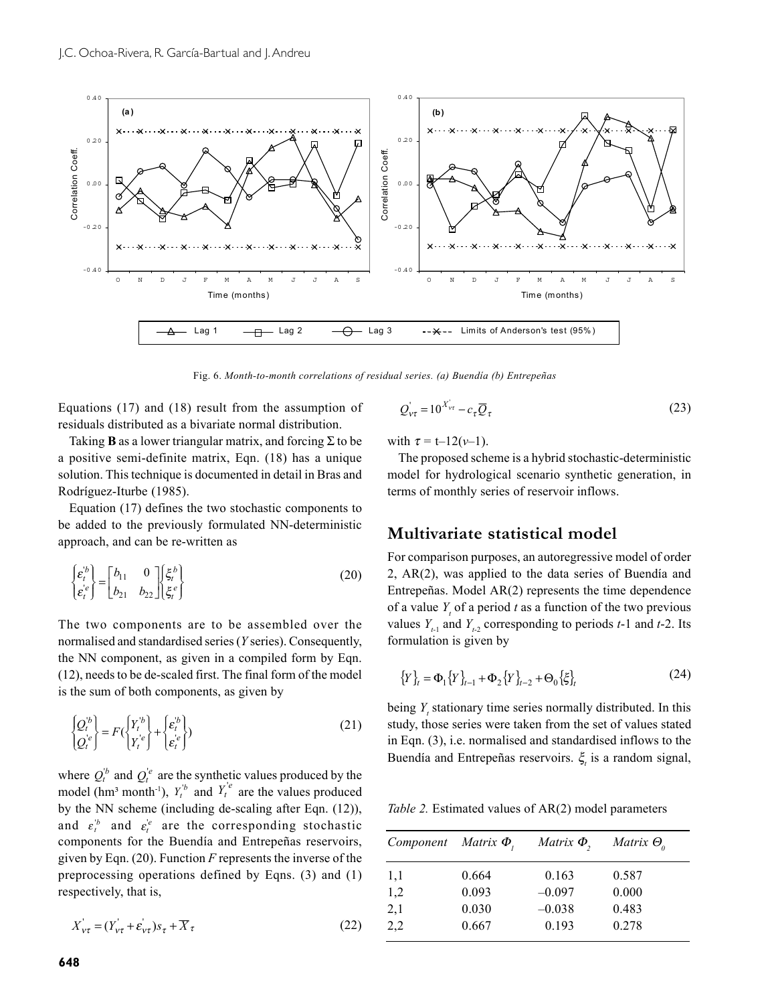

Fig. 6. *Month-to-month correlations of residual series. (a) Buendía (b) Entrepeñas*

Equations (17) and (18) result from the assumption of residuals distributed as a bivariate normal distribution.

Taking **B** as a lower triangular matrix, and forcing  $\Sigma$  to be a positive semi-definite matrix, Eqn. (18) has a unique solution. This technique is documented in detail in Bras and Rodríguez-Iturbe (1985).

Equation (17) defines the two stochastic components to be added to the previously formulated NN-deterministic approach, and can be re-written as

$$
\begin{Bmatrix} \varepsilon_t^{\prime b} \\ \varepsilon_t^{\prime e} \end{Bmatrix} = \begin{bmatrix} b_{11} & 0 \\ b_{21} & b_{22} \end{bmatrix} \begin{bmatrix} \xi_t^{\prime b} \\ \xi_t^{\prime e} \end{bmatrix}
$$
 (20)

The two components are to be assembled over the normalised and standardised series (*Y* series). Consequently, the NN component, as given in a compiled form by Eqn. (12), needs to be de-scaled first. The final form of the model is the sum of both components, as given by

$$
\begin{Bmatrix} Q_t^{\prime b} \\ Q_t^{\prime e} \end{Bmatrix} = F\left(\begin{Bmatrix} Y_t^{\prime b} \\ Y_t^{\prime e} \end{Bmatrix} + \begin{Bmatrix} \varepsilon_t^{\prime b} \\ \varepsilon_t^{\prime e} \end{Bmatrix}\right)
$$
\n(21)

where  $Q_t^b$  and  $Q_t^e$  are the synthetic values produced by the model (hm<sup>3</sup> month<sup>-1</sup>),  $Y_t^b$  and  $Y_t^e$  are the values produced by the NN scheme (including de-scaling after Eqn. (12)), and  $\varepsilon_t^b$  and  $\varepsilon_t^{\prime e}$  are the corresponding stochastic components for the Buendía and Entrepeñas reservoirs, given by Eqn. (20). Function *F* represents the inverse of the preprocessing operations defined by Eqns. (3) and (1) respectively, that is,

$$
X'_{v\tau} = (Y'_{v\tau} + \varepsilon'_{v\tau})s_{\tau} + \overline{X}_{\tau}
$$
\n(22)

$$
Q_{\rm vt}^{\rm'} = 10^{X_{\rm vt}^{\rm'}} - c_{\tau} \overline{Q}_{\tau}
$$
 (23)

with  $\tau = t-12(\nu-1)$ .

The proposed scheme is a hybrid stochastic-deterministic model for hydrological scenario synthetic generation, in terms of monthly series of reservoir inflows.

### **Multivariate statistical model**

For comparison purposes, an autoregressive model of order 2, AR(2), was applied to the data series of Buendía and Entrepeñas. Model AR(2) represents the time dependence of a value  $Y<sub>t</sub>$  of a period  $t$  as a function of the two previous values  $Y_{t-1}$  and  $Y_{t-2}$  corresponding to periods  $t-1$  and  $t-2$ . Its formulation is given by

$$
\{Y\}_t = \Phi_1 \{Y\}_{t-1} + \Phi_2 \{Y\}_{t-2} + \Theta_0 \{\xi\}_t \tag{24}
$$

being  $Y_t$  stationary time series normally distributed. In this study, those series were taken from the set of values stated in Eqn. (3), i.e. normalised and standardised inflows to the Buendía and Entrepeñas reservoirs.  $\xi$ <sub>t</sub> is a random signal,

*Table 2.* Estimated values of AR(2) model parameters

| Component | Matrix $\Phi$ , | Matrix $\Phi$ , | Matrix $\Theta$ <sub>o</sub> |
|-----------|-----------------|-----------------|------------------------------|
| 1,1       | 0.664           | 0.163           | 0.587                        |
| 1,2       | 0.093           | $-0.097$        | 0.000                        |
| 2,1       | 0.030           | $-0.038$        | 0.483                        |
| 2,2       | 0.667           | 0.193           | 0.278                        |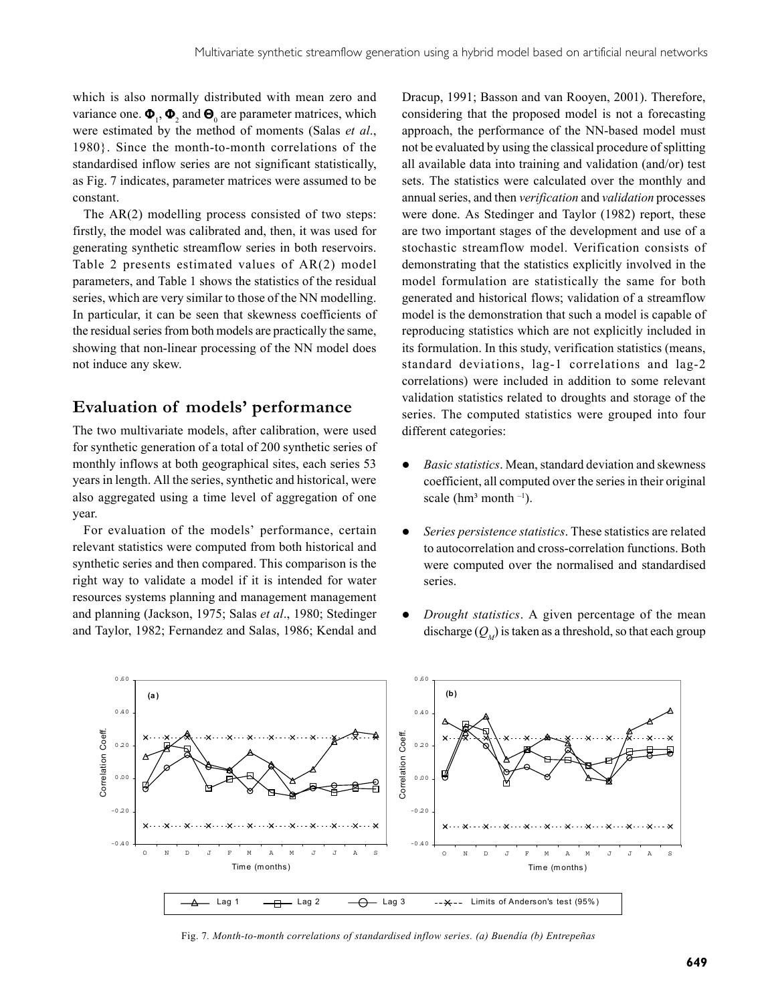which is also normally distributed with mean zero and variance one.  $\mathbf{\Phi}_1$ ,  $\mathbf{\Phi}_2$  and  $\mathbf{\Theta}_0$  are parameter matrices, which were estimated by the method of moments (Salas *et al*., 1980}. Since the month-to-month correlations of the standardised inflow series are not significant statistically, as Fig. 7 indicates, parameter matrices were assumed to be constant.

The AR(2) modelling process consisted of two steps: firstly, the model was calibrated and, then, it was used for generating synthetic streamflow series in both reservoirs. Table 2 presents estimated values of AR(2) model parameters, and Table 1 shows the statistics of the residual series, which are very similar to those of the NN modelling. In particular, it can be seen that skewness coefficients of the residual series from both models are practically the same, showing that non-linear processing of the NN model does not induce any skew.

### **Evaluation of models' performance**

The two multivariate models, after calibration, were used for synthetic generation of a total of 200 synthetic series of monthly inflows at both geographical sites, each series 53 years in length. All the series, synthetic and historical, were also aggregated using a time level of aggregation of one year.

For evaluation of the models' performance, certain relevant statistics were computed from both historical and synthetic series and then compared. This comparison is the right way to validate a model if it is intended for water resources systems planning and management management and planning (Jackson, 1975; Salas *et al*., 1980; Stedinger and Taylor, 1982; Fernandez and Salas, 1986; Kendal and

Dracup, 1991; Basson and van Rooyen, 2001). Therefore, considering that the proposed model is not a forecasting approach, the performance of the NN-based model must not be evaluated by using the classical procedure of splitting all available data into training and validation (and/or) test sets. The statistics were calculated over the monthly and annual series, and then *verification* and *validation* processes were done. As Stedinger and Taylor (1982) report, these are two important stages of the development and use of a stochastic streamflow model. Verification consists of demonstrating that the statistics explicitly involved in the model formulation are statistically the same for both generated and historical flows; validation of a streamflow model is the demonstration that such a model is capable of reproducing statistics which are not explicitly included in its formulation. In this study, verification statistics (means, standard deviations, lag-1 correlations and lag-2 correlations) were included in addition to some relevant validation statistics related to droughts and storage of the series. The computed statistics were grouped into four different categories:

- *Basic statistics*. Mean, standard deviation and skewness coefficient, all computed over the series in their original scale ( $\text{hm}^3$  month  $^{-1}$ ).
- **•** *Series persistence statistics*. These statistics are related to autocorrelation and cross-correlation functions. Both were computed over the normalised and standardised series.
- *Drought statistics*. A given percentage of the mean discharge  $(Q_{\mu})$  is taken as a threshold, so that each group



Fig. 7*. Month-to-month correlations of standardised inflow series. (a) Buendía (b) Entrepeñas*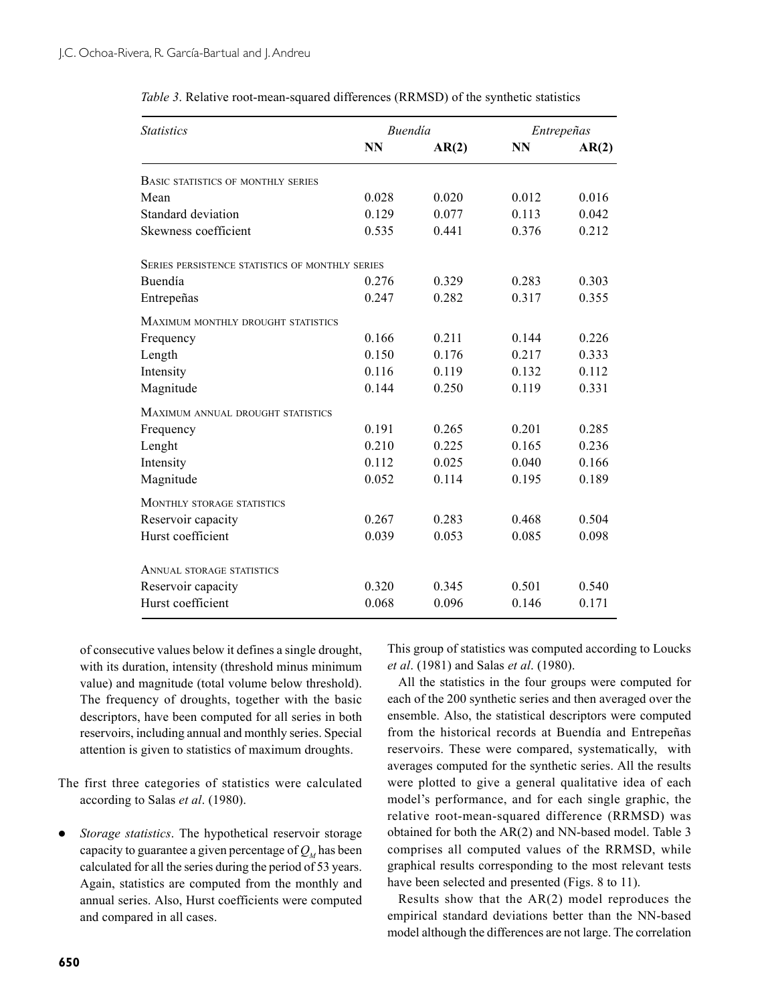| <i>Statistics</i>                                      | <i>Buendía</i> |       | Entrepeñas |       |
|--------------------------------------------------------|----------------|-------|------------|-------|
|                                                        | <b>NN</b>      | AR(2) | <b>NN</b>  | AR(2) |
| <b>BASIC STATISTICS OF MONTHLY SERIES</b>              |                |       |            |       |
| Mean                                                   | 0.028          | 0.020 | 0.012      | 0.016 |
| Standard deviation                                     | 0.129          | 0.077 | 0.113      | 0.042 |
| Skewness coefficient                                   | 0.535          | 0.441 | 0.376      | 0.212 |
| <b>SERIES PERSISTENCE STATISTICS OF MONTHLY SERIES</b> |                |       |            |       |
| Buendía                                                | 0.276          | 0.329 | 0.283      | 0.303 |
| Entrepeñas                                             | 0.247          | 0.282 | 0.317      | 0.355 |
| MAXIMUM MONTHLY DROUGHT STATISTICS                     |                |       |            |       |
| Frequency                                              | 0.166          | 0.211 | 0.144      | 0.226 |
| Length                                                 | 0.150          | 0.176 | 0.217      | 0.333 |
| Intensity                                              | 0.116          | 0.119 | 0.132      | 0.112 |
| Magnitude                                              | 0.144          | 0.250 | 0.119      | 0.331 |
| MAXIMUM ANNUAL DROUGHT STATISTICS                      |                |       |            |       |
| Frequency                                              | 0.191          | 0.265 | 0.201      | 0.285 |
| Lenght                                                 | 0.210          | 0.225 | 0.165      | 0.236 |
| Intensity                                              | 0.112          | 0.025 | 0.040      | 0.166 |
| Magnitude                                              | 0.052          | 0.114 | 0.195      | 0.189 |
| <b>MONTHLY STORAGE STATISTICS</b>                      |                |       |            |       |
| Reservoir capacity                                     | 0.267          | 0.283 | 0.468      | 0.504 |
| Hurst coefficient                                      | 0.039          | 0.053 | 0.085      | 0.098 |
| <b>ANNUAL STORAGE STATISTICS</b>                       |                |       |            |       |
| Reservoir capacity                                     | 0.320          | 0.345 | 0.501      | 0.540 |
| Hurst coefficient                                      | 0.068          | 0.096 | 0.146      | 0.171 |

*Table 3*. Relative root-mean-squared differences (RRMSD) of the synthetic statistics

of consecutive values below it defines a single drought, with its duration, intensity (threshold minus minimum value) and magnitude (total volume below threshold). The frequency of droughts, together with the basic descriptors, have been computed for all series in both reservoirs, including annual and monthly series. Special attention is given to statistics of maximum droughts.

The first three categories of statistics were calculated according to Salas *et al*. (1980).

*Storage statistics*. The hypothetical reservoir storage capacity to guarantee a given percentage of  $Q<sub>M</sub>$  has been calculated for all the series during the period of 53 years. Again, statistics are computed from the monthly and annual series. Also, Hurst coefficients were computed and compared in all cases.

This group of statistics was computed according to Loucks *et al*. (1981) and Salas *et al*. (1980).

All the statistics in the four groups were computed for each of the 200 synthetic series and then averaged over the ensemble. Also, the statistical descriptors were computed from the historical records at Buendía and Entrepeñas reservoirs. These were compared, systematically, with averages computed for the synthetic series. All the results were plotted to give a general qualitative idea of each model's performance, and for each single graphic, the relative root-mean-squared difference (RRMSD) was obtained for both the AR(2) and NN-based model. Table 3 comprises all computed values of the RRMSD, while graphical results corresponding to the most relevant tests have been selected and presented (Figs. 8 to 11).

Results show that the AR(2) model reproduces the empirical standard deviations better than the NN-based model although the differences are not large. The correlation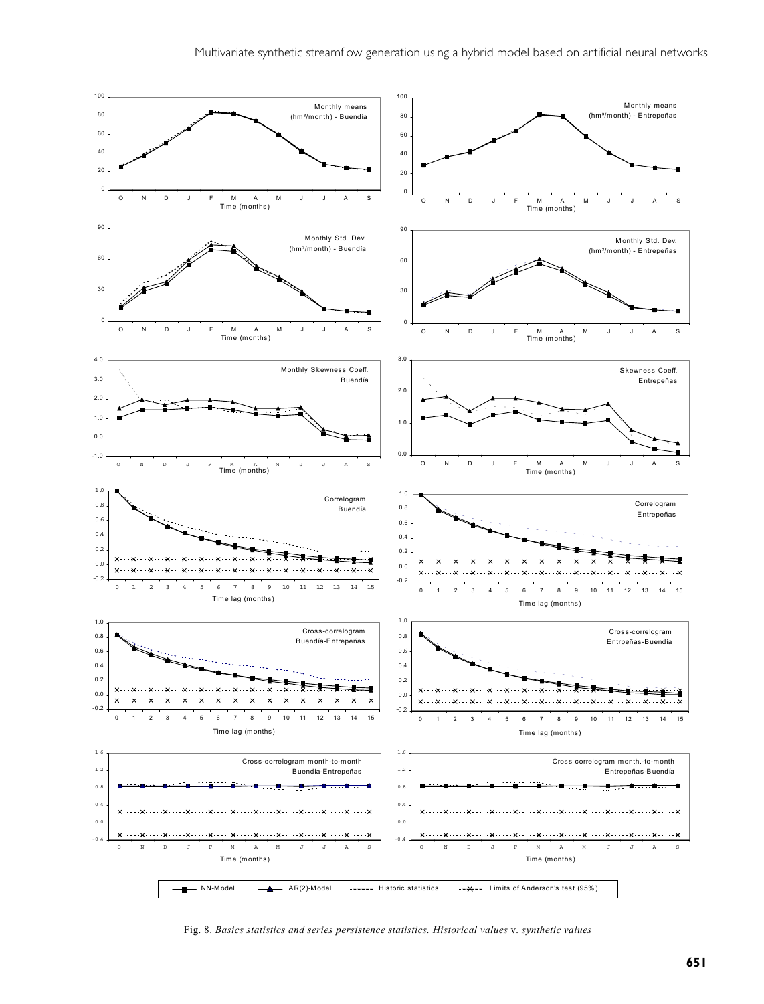

Fig. 8. *Basics statistics and series persistence statistics. Historical values* v*. synthetic values*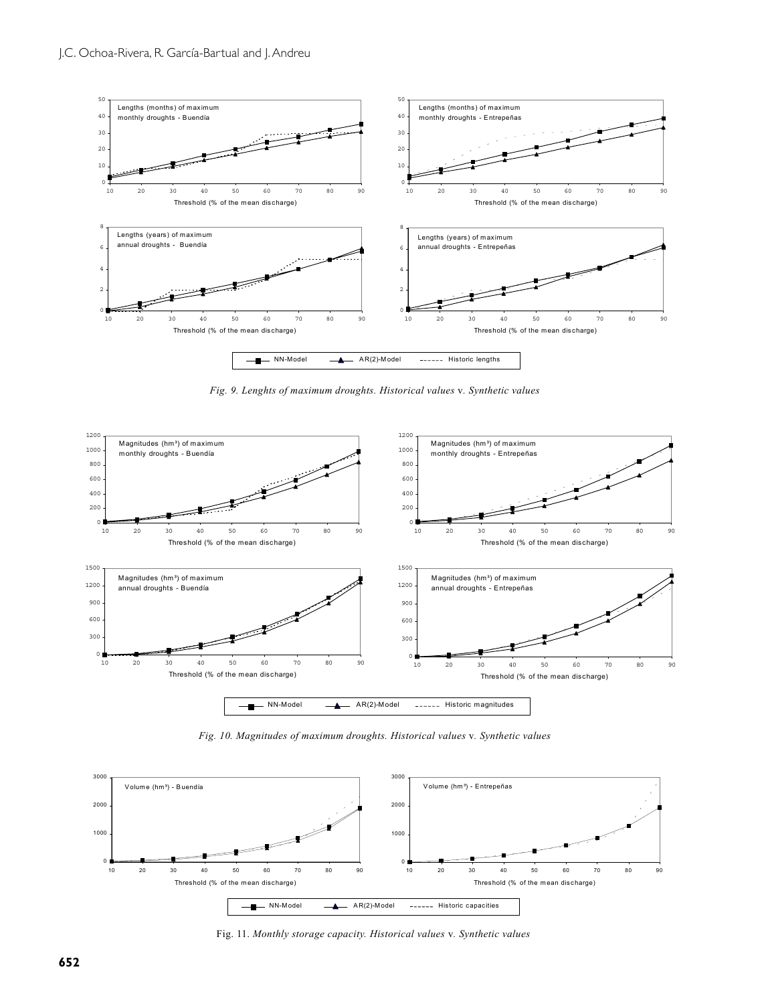

*Fig. 9. Lenghts of maximum droughts. Historical values* v*. Synthetic values*



*Fig. 10. Magnitudes of maximum droughts. Historical values* v*. Synthetic values*



Fig. 11. *Monthly storage capacity. Historical values* v*. Synthetic values*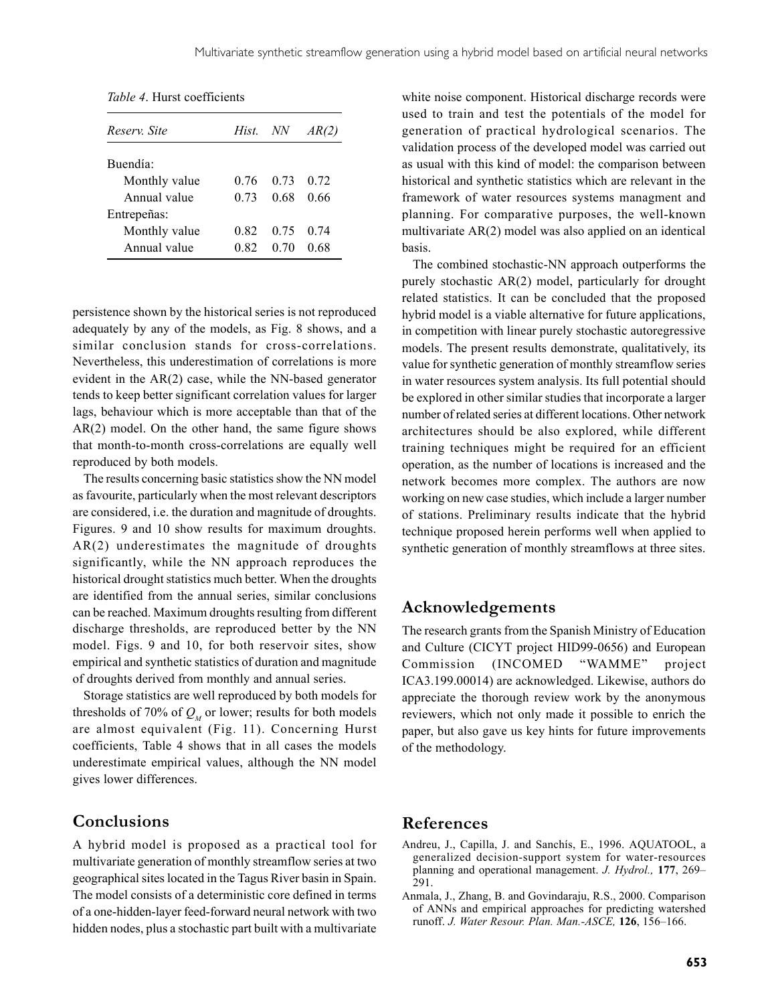| Reserv. Site         | Hist. | NN   | <i>AR(2)</i> |
|----------------------|-------|------|--------------|
| Buendía <sup>.</sup> |       |      |              |
| Monthly value        | 0.76  | 0.73 | 0.72         |
| Annual value         | 0.73  | 0.68 | 0.66         |
| Entrepeñas:          |       |      |              |
| Monthly value        | 0.82  | 0.75 | 0.74         |
| Annual value         | 0.82  | 0.70 | 0.68         |

*Table 4*. Hurst coefficients

persistence shown by the historical series is not reproduced adequately by any of the models, as Fig. 8 shows, and a similar conclusion stands for cross-correlations. Nevertheless, this underestimation of correlations is more evident in the AR(2) case, while the NN-based generator tends to keep better significant correlation values for larger lags, behaviour which is more acceptable than that of the AR(2) model. On the other hand, the same figure shows that month-to-month cross-correlations are equally well reproduced by both models.

The results concerning basic statistics show the NN model as favourite, particularly when the most relevant descriptors are considered, i.e. the duration and magnitude of droughts. Figures. 9 and 10 show results for maximum droughts. AR(2) underestimates the magnitude of droughts significantly, while the NN approach reproduces the historical drought statistics much better. When the droughts are identified from the annual series, similar conclusions can be reached. Maximum droughts resulting from different discharge thresholds, are reproduced better by the NN model. Figs. 9 and 10, for both reservoir sites, show empirical and synthetic statistics of duration and magnitude of droughts derived from monthly and annual series.

Storage statistics are well reproduced by both models for thresholds of 70% of  $Q_{\mu}$  or lower; results for both models are almost equivalent (Fig. 11). Concerning Hurst coefficients, Table 4 shows that in all cases the models underestimate empirical values, although the NN model gives lower differences.

# **Conclusions**

A hybrid model is proposed as a practical tool for multivariate generation of monthly streamflow series at two geographical sites located in the Tagus River basin in Spain. The model consists of a deterministic core defined in terms of a one-hidden-layer feed-forward neural network with two hidden nodes, plus a stochastic part built with a multivariate

white noise component. Historical discharge records were used to train and test the potentials of the model for generation of practical hydrological scenarios. The validation process of the developed model was carried out as usual with this kind of model: the comparison between historical and synthetic statistics which are relevant in the framework of water resources systems managment and planning. For comparative purposes, the well-known multivariate AR(2) model was also applied on an identical basis.

The combined stochastic-NN approach outperforms the purely stochastic AR(2) model, particularly for drought related statistics. It can be concluded that the proposed hybrid model is a viable alternative for future applications, in competition with linear purely stochastic autoregressive models. The present results demonstrate, qualitatively, its value for synthetic generation of monthly streamflow series in water resources system analysis. Its full potential should be explored in other similar studies that incorporate a larger number of related series at different locations. Other network architectures should be also explored, while different training techniques might be required for an efficient operation, as the number of locations is increased and the network becomes more complex. The authors are now working on new case studies, which include a larger number of stations. Preliminary results indicate that the hybrid technique proposed herein performs well when applied to synthetic generation of monthly streamflows at three sites.

### **Acknowledgements**

The research grants from the Spanish Ministry of Education and Culture (CICYT project HID99-0656) and European Commission (INCOMED "WAMME" project ICA3.199.00014) are acknowledged. Likewise, authors do appreciate the thorough review work by the anonymous reviewers, which not only made it possible to enrich the paper, but also gave us key hints for future improvements of the methodology.

### **References**

- Andreu, J., Capilla, J. and Sanchís, E., 1996. AQUATOOL, a generalized decision-support system for water-resources planning and operational management. *J. Hydrol.,* **177**, 269– 291.
- Anmala, J., Zhang, B. and Govindaraju, R.S., 2000. Comparison of ANNs and empirical approaches for predicting watershed runoff. *J. Water Resour. Plan. Man.-ASCE,* **126**, 156–166.